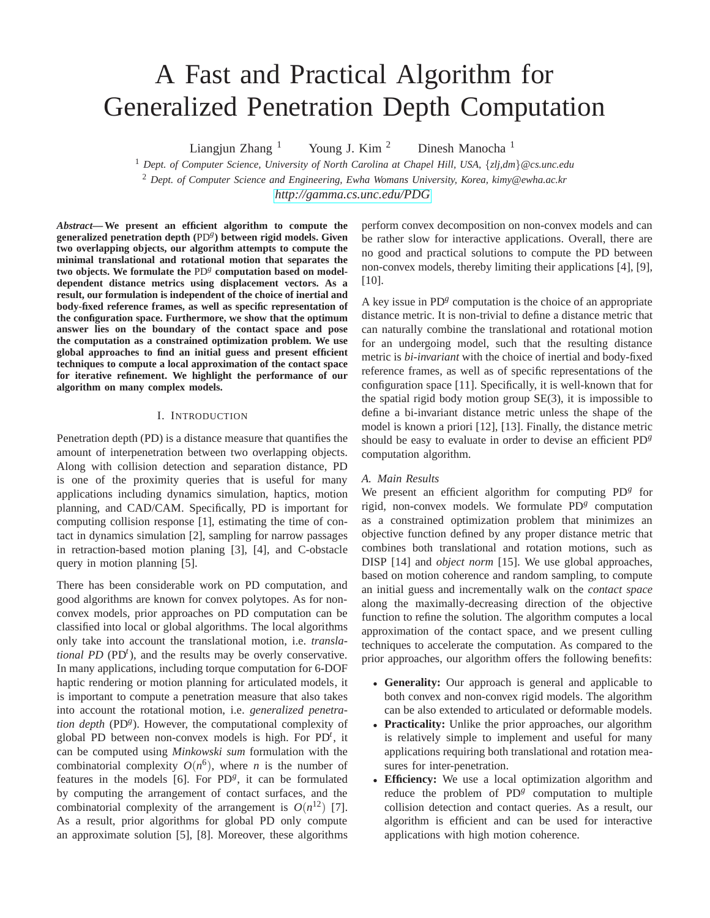# A Fast and Practical Algorithm for Generalized Penetration Depth Computation

Liangjun Zhang  $1$  Young J. Kim  $2$  Dinesh Manocha  $1$ 

<sup>1</sup> *Dept. of Computer Science, University of North Carolina at Chapel Hill, USA,* {*zlj,dm*}*@cs.unc.edu* <sup>2</sup> *Dept. of Computer Science and Engineering, Ewha Womans University, Korea, kimy@ewha.ac.kr <http://gamma.cs.unc.edu/PDG>*

*Abstract***— We present an efficient algorithm to compute the generalized penetration depth (**PD*<sup>g</sup>* **) between rigid models. Given two overlapping objects, our algorithm attempts to compute the minimal translational and rotational motion that separates the** two objects. We formulate the PD<sup>g</sup> computation based on model**dependent distance metrics using displacement vectors. As a result, our formulation is independent of the choice of inertial and body-fixed reference frames, as well as specific representation of the configuration space. Furthermore, we show that the optimum answer lies on the boundary of the contact space and pose the computation as a constrained optimization problem. We use global approaches to find an initial guess and present efficient techniques to compute a local approximation of the contact space for iterative refinement. We highlight the performance of our algorithm on many complex models.**

# I. INTRODUCTION

Penetration depth (PD) is a distance measure that quantifies the amount of interpenetration between two overlapping objects. Along with collision detection and separation distance, PD is one of the proximity queries that is useful for many applications including dynamics simulation, haptics, motion planning, and CAD/CAM. Specifically, PD is important for computing collision response [1], estimating the time of contact in dynamics simulation [2], sampling for narrow passages in retraction-based motion planing [3], [4], and C-obstacle query in motion planning [5].

There has been considerable work on PD computation, and good algorithms are known for convex polytopes. As for nonconvex models, prior approaches on PD computation can be classified into local or global algorithms. The local algorithms only take into account the translational motion, i.e. *translational PD* (PD*<sup>t</sup>* ), and the results may be overly conservative. In many applications, including torque computation for 6-DOF haptic rendering or motion planning for articulated models, it is important to compute a penetration measure that also takes into account the rotational motion, i.e. *generalized penetration depth* (PD*<sup>g</sup>* ). However, the computational complexity of global PD between non-convex models is high. For PD*<sup>t</sup>* , it can be computed using *Minkowski sum* formulation with the combinatorial complexity  $O(n^6)$ , where *n* is the number of features in the models  $[6]$ . For PD<sup>g</sup>, it can be formulated by computing the arrangement of contact surfaces, and the combinatorial complexity of the arrangement is  $O(n^{12})$  [7]. As a result, prior algorithms for global PD only compute an approximate solution [5], [8]. Moreover, these algorithms perform convex decomposition on non-convex models and can be rather slow for interactive applications. Overall, there are no good and practical solutions to compute the PD between non-convex models, thereby limiting their applications [4], [9], [10].

A key issue in PD<sup>g</sup> computation is the choice of an appropriate distance metric. It is non-trivial to define a distance metric that can naturally combine the translational and rotational motion for an undergoing model, such that the resulting distance metric is *bi-invariant* with the choice of inertial and body-fixed reference frames, as well as of specific representations of the configuration space [11]. Specifically, it is well-known that for the spatial rigid body motion group SE(3), it is impossible to define a bi-invariant distance metric unless the shape of the model is known a priori [12], [13]. Finally, the distance metric should be easy to evaluate in order to devise an efficient PD*<sup>g</sup>* computation algorithm.

#### *A. Main Results*

We present an efficient algorithm for computing PD<sup>g</sup> for rigid, non-convex models. We formulate PD<sup>g</sup> computation as a constrained optimization problem that minimizes an objective function defined by any proper distance metric that combines both translational and rotation motions, such as DISP [14] and *object norm* [15]. We use global approaches, based on motion coherence and random sampling, to compute an initial guess and incrementally walk on the *contact space* along the maximally-decreasing direction of the objective function to refine the solution. The algorithm computes a local approximation of the contact space, and we present culling techniques to accelerate the computation. As compared to the prior approaches, our algorithm offers the following benefits:

- **Generality:** Our approach is general and applicable to both convex and non-convex rigid models. The algorithm can be also extended to articulated or deformable models.
- **Practicality:** Unlike the prior approaches, our algorithm is relatively simple to implement and useful for many applications requiring both translational and rotation measures for inter-penetration.
- **Efficiency:** We use a local optimization algorithm and reduce the problem of PD<sup>g</sup> computation to multiple collision detection and contact queries. As a result, our algorithm is efficient and can be used for interactive applications with high motion coherence.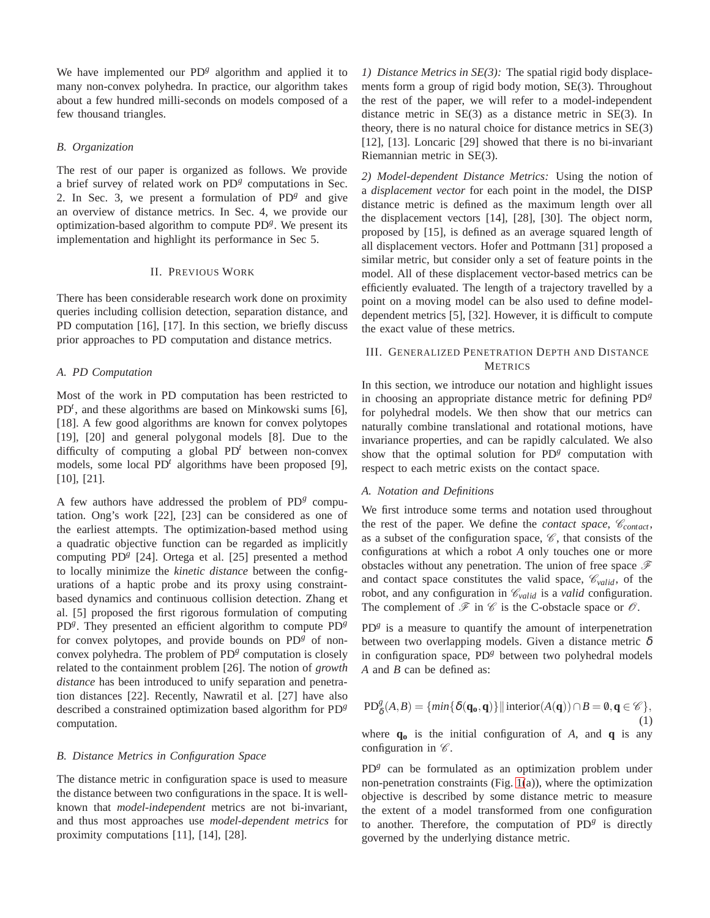We have implemented our PD<sup>g</sup> algorithm and applied it to many non-convex polyhedra. In practice, our algorithm takes about a few hundred milli-seconds on models composed of a few thousand triangles.

# *B. Organization*

The rest of our paper is organized as follows. We provide a brief survey of related work on PD<sup>g</sup> computations in Sec. 2. In Sec. 3, we present a formulation of  $PD<sup>g</sup>$  and give an overview of distance metrics. In Sec. 4, we provide our optimization-based algorithm to compute PD*<sup>g</sup>* . We present its implementation and highlight its performance in Sec 5.

#### II. PREVIOUS WORK

There has been considerable research work done on proximity queries including collision detection, separation distance, and PD computation [16], [17]. In this section, we briefly discuss prior approaches to PD computation and distance metrics.

#### *A. PD Computation*

Most of the work in PD computation has been restricted to PD*<sup>t</sup>* , and these algorithms are based on Minkowski sums [6], [18]. A few good algorithms are known for convex polytopes [19], [20] and general polygonal models [8]. Due to the difficulty of computing a global PD*<sup>t</sup>* between non-convex models, some local PD*<sup>t</sup>* algorithms have been proposed [9], [10], [21].

A few authors have addressed the problem of  $P D<sup>g</sup>$  computation. Ong's work [22], [23] can be considered as one of the earliest attempts. The optimization-based method using a quadratic objective function can be regarded as implicitly computing PD<sup>g</sup> [24]. Ortega et al. [25] presented a method to locally minimize the *kinetic distance* between the configurations of a haptic probe and its proxy using constraintbased dynamics and continuous collision detection. Zhang et al. [5] proposed the first rigorous formulation of computing PD<sup>g</sup>. They presented an efficient algorithm to compute PD<sup>g</sup> for convex polytopes, and provide bounds on PD<sup>g</sup> of nonconvex polyhedra. The problem of PD<sup>g</sup> computation is closely related to the containment problem [26]. The notion of *growth distance* has been introduced to unify separation and penetration distances [22]. Recently, Nawratil et al. [27] have also described a constrained optimization based algorithm for PD *g* computation.

# *B. Distance Metrics in Configuration Space*

The distance metric in configuration space is used to measure the distance between two configurations in the space. It is wellknown that *model-independent* metrics are not bi-invariant, and thus most approaches use *model-dependent metrics* for proximity computations [11], [14], [28].

*1) Distance Metrics in SE(3):* The spatial rigid body displacements form a group of rigid body motion, SE(3). Throughout the rest of the paper, we will refer to a model-independent distance metric in SE(3) as a distance metric in SE(3). In theory, there is no natural choice for distance metrics in SE(3) [12], [13]. Loncaric [29] showed that there is no bi-invariant Riemannian metric in SE(3).

*2) Model-dependent Distance Metrics:* Using the notion of a *displacement vector* for each point in the model, the DISP distance metric is defined as the maximum length over all the displacement vectors [14], [28], [30]. The object norm, proposed by [15], is defined as an average squared length of all displacement vectors. Hofer and Pottmann [31] proposed a similar metric, but consider only a set of feature points in the model. All of these displacement vector-based metrics can be efficiently evaluated. The length of a trajectory travelled by a point on a moving model can be also used to define modeldependent metrics [5], [32]. However, it is difficult to compute the exact value of these metrics.

# III. GENERALIZED PENETRATION DEPTH AND DISTANCE **METRICS**

In this section, we introduce our notation and highlight issues in choosing an appropriate distance metric for defining PD*<sup>g</sup>* for polyhedral models. We then show that our metrics can naturally combine translational and rotational motions, have invariance properties, and can be rapidly calculated. We also show that the optimal solution for PD<sup>g</sup> computation with respect to each metric exists on the contact space.

#### *A. Notation and Definitions*

We first introduce some terms and notation used throughout the rest of the paper. We define the *contact space*,  $\mathcal{C}_{contact}$ , as a subset of the configuration space,  $\mathscr{C}$ , that consists of the configurations at which a robot *A* only touches one or more obstacles without any penetration. The union of free space  $\mathscr F$ and contact space constitutes the valid space,  $\mathcal{C}_{valid}$ , of the robot, and any configuration in  $\mathcal{C}_{valid}$  is a *valid* configuration. The complement of  $\mathscr F$  in  $\mathscr C$  is the C-obstacle space or  $\mathscr O$ .

PD<sup>g</sup> is a measure to quantify the amount of interpenetration between two overlapping models. Given a distance metric  $\delta$ in configuration space, PD<sup>g</sup> between two polyhedral models *A* and *B* can be defined as:

$$
PD_{\delta}^{g}(A,B) = \{ \min\{\delta(\mathbf{q_o}, \mathbf{q})\} \mid \text{interior}(A(\mathbf{q})) \cap B = \emptyset, \mathbf{q} \in \mathcal{C}\},\tag{1}
$$

where  $q_0$  is the initial configuration of *A*, and  $q$  is any configuration in  $\mathscr{C}$ .

PD<sup>g</sup> can be formulated as an optimization problem under non-penetration constraints (Fig.  $1(a)$ ), where the optimization objective is described by some distance metric to measure the extent of a model transformed from one configuration to another. Therefore, the computation of PD<sup>g</sup> is directly governed by the underlying distance metric.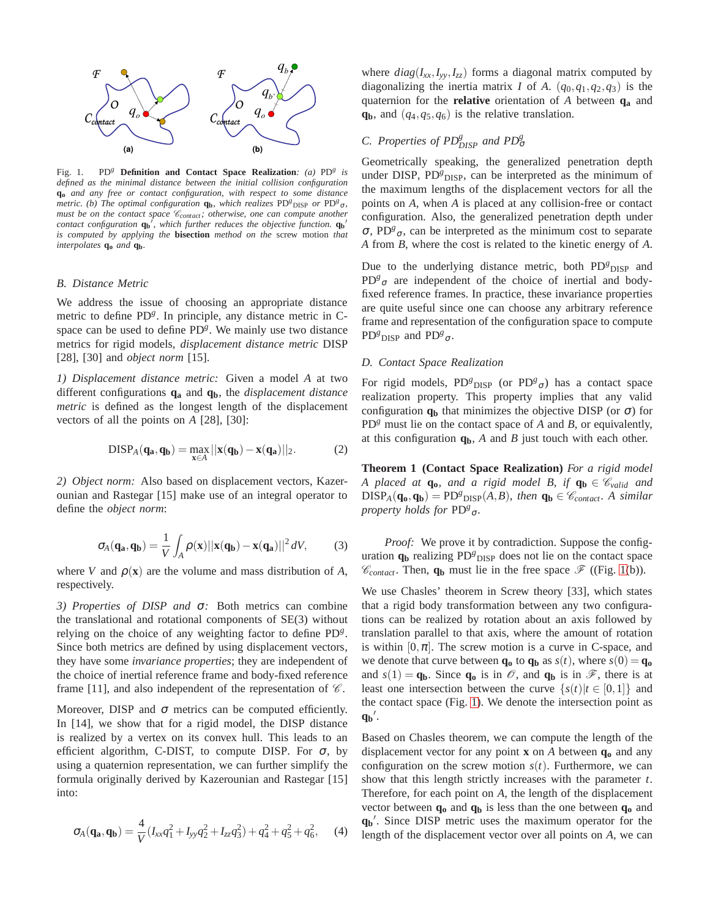

<span id="page-2-0"></span>Fig. 1. PD*<sup>g</sup>* **Definition and Contact Space Realization***: (a)* PD*<sup>g</sup> is defined as the minimal distance between the initial collision configuration* **q<sup>o</sup>** *and any free or contact configuration, with respect to some distance metric.* (b) The optimal configuration **q**<sub>b</sub>, which realizes PD<sup>g</sup><sub>DISP</sub> or PD<sup>g</sup><sub>σ</sub>, *must be on the contact space*  $\mathcal{C}_{contact}$ *; otherwise, one can compute another contact configuration*  $\mathbf{q_b}^j$ , which further reduces the objective function.  $\mathbf{q_b}^j$ *is computed by applying the* **bisection** *method on the* screw motion *that interpolates* **q<sup>o</sup>** *and* **qb***.*

#### *B. Distance Metric*

We address the issue of choosing an appropriate distance metric to define PD<sup>g</sup>. In principle, any distance metric in Cspace can be used to define PD<sup>g</sup>. We mainly use two distance metrics for rigid models, *displacement distance metric* DISP [28], [30] and *object norm* [15].

*1) Displacement distance metric:* Given a model *A* at two different configurations **q<sup>a</sup>** and **qb**, the *displacement distance metric* is defined as the longest length of the displacement vectors of all the points on *A* [28], [30]:

$$
\mathrm{DISP}_A(q_a, q_b) = \max_{x \in A} ||x(q_b) - x(q_a)||_2. \tag{2}
$$

*2) Object norm:* Also based on displacement vectors, Kazerounian and Rastegar [15] make use of an integral operator to define the *object norm*:

$$
\sigma_A(\mathbf{q_a}, \mathbf{q_b}) = \frac{1}{V} \int_A \rho(\mathbf{x}) ||\mathbf{x}(\mathbf{q_b}) - \mathbf{x}(\mathbf{q_a})||^2 dV, \quad (3)
$$

where *V* and  $\rho(\mathbf{x})$  are the volume and mass distribution of *A*, respectively.

*3) Properties of DISP and* <sup>σ</sup>*:* Both metrics can combine the translational and rotational components of SE(3) without relying on the choice of any weighting factor to define PD*<sup>g</sup>* . Since both metrics are defined by using displacement vectors, they have some *invariance properties*; they are independent of the choice of inertial reference frame and body-fixed reference frame [11], and also independent of the representation of  $\mathscr C$ .

Moreover, DISP and  $\sigma$  metrics can be computed efficiently. In [14], we show that for a rigid model, the DISP distance is realized by a vertex on its convex hull. This leads to an efficient algorithm, C-DIST, to compute DISP. For  $\sigma$ , by using a quaternion representation, we can further simplify the formula originally derived by Kazerounian and Rastegar [15] into:

<span id="page-2-2"></span>
$$
\sigma_A(\mathbf{q_a}, \mathbf{q_b}) = \frac{4}{V}(I_{xx}q_1^2 + I_{yy}q_2^2 + I_{zz}q_3^2) + q_4^2 + q_5^2 + q_6^2, \quad (4)
$$

where  $diag(I_{xx}, I_{yy}, I_{zz})$  forms a diagonal matrix computed by diagonalizing the inertia matrix *I* of *A*.  $(q_0, q_1, q_2, q_3)$  is the quaternion for the **relative** orientation of *A* between **q<sup>a</sup>** and **qb**, and (*q*4,*q*5,*q*6) is the relative translation.

# *C. Properties of PD*<sup>*g*</sup><sub>*DISP</sub> and PD*<sup>*g*</sup><sub> $\sigma$ </sub></sub>

Geometrically speaking, the generalized penetration depth under DISP, PD<sup>g</sup><sub>DISP</sub>, can be interpreted as the minimum of the maximum lengths of the displacement vectors for all the points on *A*, when *A* is placed at any collision-free or contact configuration. Also, the generalized penetration depth under <sup>σ</sup>, PD*<sup>g</sup>* <sup>σ</sup>, can be interpreted as the minimum cost to separate *A* from *B*, where the cost is related to the kinetic energy of *A*.

Due to the underlying distance metric, both PD<sup>g</sup><sub>DISP</sub> and  $PD<sup>g</sup>$ <sub>σ</sub> are independent of the choice of inertial and bodyfixed reference frames. In practice, these invariance properties are quite useful since one can choose any arbitrary reference frame and representation of the configuration space to compute PD<sup>*g*</sup></sup>D<sub>ISP</sub> and PD<sup>*g*</sup><sub>σ</sub>.

# *D. Contact Space Realization*

For rigid models, PD<sup>g</sup><sub>DISP</sub> (or PD<sup>g</sup><sub>σ</sub>) has a contact space realization property. This property implies that any valid configuration  $q_b$  that minimizes the objective DISP (or  $\sigma$ ) for PD*<sup>g</sup>* must lie on the contact space of *A* and *B*, or equivalently, at this configuration **qb**, *A* and *B* just touch with each other.

<span id="page-2-1"></span>**Theorem 1 (Contact Space Realization)** *For a rigid model A* placed at  $\mathbf{q}_0$ *, and a rigid model B, if*  $\mathbf{q}_b \in \mathcal{C}_{valid}$  *and*  $DISP_A(\mathbf{q_0}, \mathbf{q_b}) = P D^g_{DISP}(A, B)$ *, then*  $\mathbf{q_b} \in \mathcal{C}_{contact}$ *. A similar property holds for* PD*<sup>g</sup>* σ*.*

*Proof:* We prove it by contradiction. Suppose the configuration  $q_b$  realizing  $PD^g$ <sub>DISP</sub> does not lie on the contact space  $\mathcal{C}_{contact}$ . Then,  $q_b$  must lie in the free space  $\mathcal{F}$  ((Fig. [1\(](#page-2-0)b)).

We use Chasles' theorem in Screw theory [33], which states that a rigid body transformation between any two configurations can be realized by rotation about an axis followed by translation parallel to that axis, where the amount of rotation is within  $[0, \pi]$ . The screw motion is a curve in C-space, and we denote that curve between  $\mathbf{q_o}$  to  $\mathbf{q_b}$  as  $s(t)$ , where  $s(0) = \mathbf{q_o}$ and  $s(1) = q_b$ . Since  $q_o$  is in  $\mathcal{O}$ , and  $q_b$  is in  $\mathcal{F}$ , there is at least one intersection between the curve  $\{s(t)|t \in [0,1]\}$  and the contact space (Fig. [1\)](#page-2-0). We denote the intersection point as  $q_{\mathbf{b}}'$ .

Based on Chasles theorem, we can compute the length of the displacement vector for any point **x** on *A* between **q<sup>o</sup>** and any configuration on the screw motion  $s(t)$ . Furthermore, we can show that this length strictly increases with the parameter *t*. Therefore, for each point on *A*, the length of the displacement vector between  $q_0$  and  $q_b$  is less than the one between  $q_0$  and **qb** ′ . Since DISP metric uses the maximum operator for the length of the displacement vector over all points on *A*, we can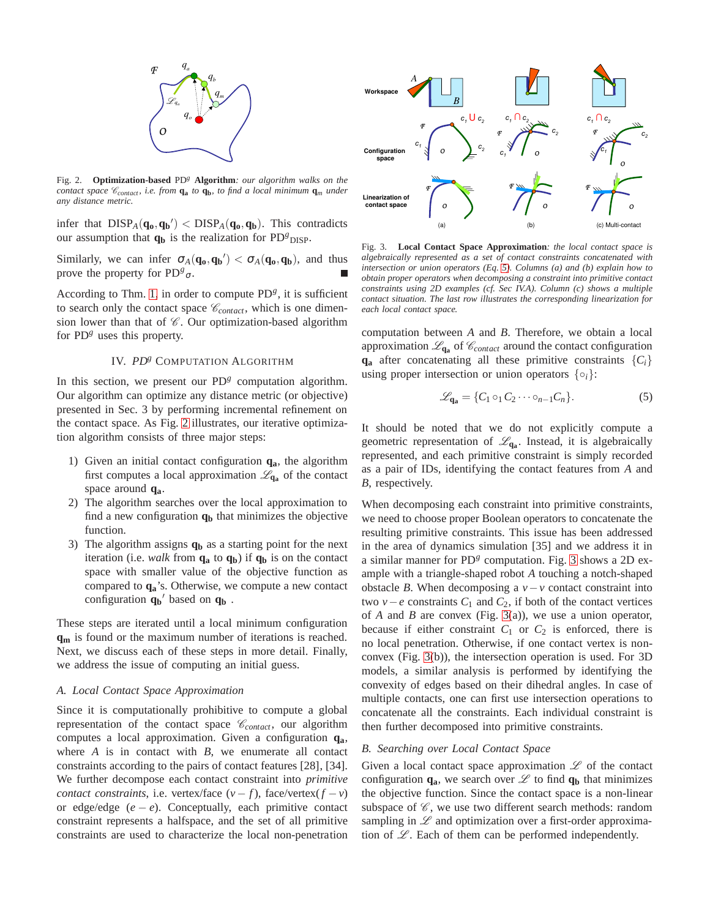

<span id="page-3-0"></span>Fig. 2. **Optimization-based** PD*<sup>g</sup>* **Algorithm***: our algorithm walks on the contact space* C*contact , i.e. from* **q<sup>a</sup>** *to* **qb***, to find a local minimum* **q***<sup>m</sup> under any distance metric.*

infer that  $DISP_A(q_0, q_b') < DISP_A(q_0, q_b)$ . This contradicts our assumption that  $q_b$  is the realization for  $PD^g$ <sub>DISP</sub>.

Similarly, we can infer  $\sigma_A(\mathbf{q_o}, \mathbf{q_b}') < \sigma_A(\mathbf{q_o}, \mathbf{q_b})$ , and thus prove the property for  $PD^{g}$ <sub>σ</sub>.

According to Thm. [1,](#page-2-1) in order to compute  $PD<sup>g</sup>$ , it is sufficient to search only the contact space  $\mathcal{C}_{contact}$ , which is one dimension lower than that of  $\mathscr C$ . Our optimization-based algorithm for PD<sup>g</sup> uses this property.

# IV. *PD<sup>g</sup>* COMPUTATION ALGORITHM

In this section, we present our  $PD<sup>g</sup>$  computation algorithm. Our algorithm can optimize any distance metric (or objective) presented in Sec. 3 by performing incremental refinement on the contact space. As Fig. [2](#page-3-0) illustrates, our iterative optimization algorithm consists of three major steps:

- 1) Given an initial contact configuration **qa**, the algorithm first computes a local approximation  $\mathscr{L}_{q_a}$  of the contact space around **qa**.
- 2) The algorithm searches over the local approximation to find a new configuration **q<sup>b</sup>** that minimizes the objective function.
- 3) The algorithm assigns **q<sup>b</sup>** as a starting point for the next iteration (i.e. *walk* from  $q_a$  to  $q_b$ ) if  $q_b$  is on the contact space with smaller value of the objective function as compared to **qa**'s. Otherwise, we compute a new contact configuration **q<sup>b</sup>** ′ based on **q<sup>b</sup>** .

These steps are iterated until a local minimum configuration **q<sup>m</sup>** is found or the maximum number of iterations is reached. Next, we discuss each of these steps in more detail. Finally, we address the issue of computing an initial guess.

#### *A. Local Contact Space Approximation*

Since it is computationally prohibitive to compute a global representation of the contact space  $\mathcal{C}_{contact}$ , our algorithm computes a local approximation. Given a configuration **qa**, where *A* is in contact with *B*, we enumerate all contact constraints according to the pairs of contact features [28], [34]. We further decompose each contact constraint into *primitive contact constraints*, i.e. vertex/face  $(v - f)$ , face/vertex $(f - v)$ or edge/edge  $(e - e)$ . Conceptually, each primitive contact constraint represents a halfspace, and the set of all primitive constraints are used to characterize the local non-penetration



<span id="page-3-2"></span>Fig. 3. **Local Contact Space Approximation***: the local contact space is algebraically represented as a set of contact constraints concatenated with intersection or union operators (Eq. [5\)](#page-3-1). Columns (a) and (b) explain how to obtain proper operators when decomposing a constraint into primitive contact constraints using 2D examples (cf. Sec IV.A). Column (c) shows a multiple contact situation. The last row illustrates the corresponding linearization for each local contact space.*

computation between *A* and *B*. Therefore, we obtain a local approximation  $\mathcal{L}_{\mathbf{q_a}}$  of  $\mathcal{C}_{contact}$  around the contact configuration  $\mathbf{q}_a$  after concatenating all these primitive constraints  $\{C_i\}$ using proper intersection or union operators  $\{\circ_i\}$ :

$$
\mathcal{L}_{\mathbf{q_a}} = \{C_1 \circ_1 C_2 \cdots \circ_{n-1} C_n\}.
$$
 (5)

<span id="page-3-1"></span>It should be noted that we do not explicitly compute a geometric representation of  $\mathcal{L}_{q_a}$ . Instead, it is algebraically represented, and each primitive constraint is simply recorded as a pair of IDs, identifying the contact features from *A* and *B*, respectively.

When decomposing each constraint into primitive constraints, we need to choose proper Boolean operators to concatenate the resulting primitive constraints. This issue has been addressed in the area of dynamics simulation [35] and we address it in a similar manner for PD<sup>g</sup> computation. Fig. [3](#page-3-2) shows a 2D example with a triangle-shaped robot *A* touching a notch-shaped obstacle *B*. When decomposing a  $v - v$  contact constraint into two *v*−*e* constraints  $C_1$  and  $C_2$ , if both of the contact vertices of *A* and *B* are convex (Fig. [3\(](#page-3-2)a)), we use a union operator, because if either constraint  $C_1$  or  $C_2$  is enforced, there is no local penetration. Otherwise, if one contact vertex is nonconvex (Fig. [3\(](#page-3-2)b)), the intersection operation is used. For 3D models, a similar analysis is performed by identifying the convexity of edges based on their dihedral angles. In case of multiple contacts, one can first use intersection operations to concatenate all the constraints. Each individual constraint is then further decomposed into primitive constraints.

# *B. Searching over Local Contact Space*

Given a local contact space approximation  $\mathscr L$  of the contact configuration  $q_a$ , we search over  $\mathcal{L}$  to find  $q_b$  that minimizes the objective function. Since the contact space is a non-linear subspace of  $\mathscr{C}$ , we use two different search methods: random sampling in  $\mathscr L$  and optimization over a first-order approximation of  $\mathscr{L}$ . Each of them can be performed independently.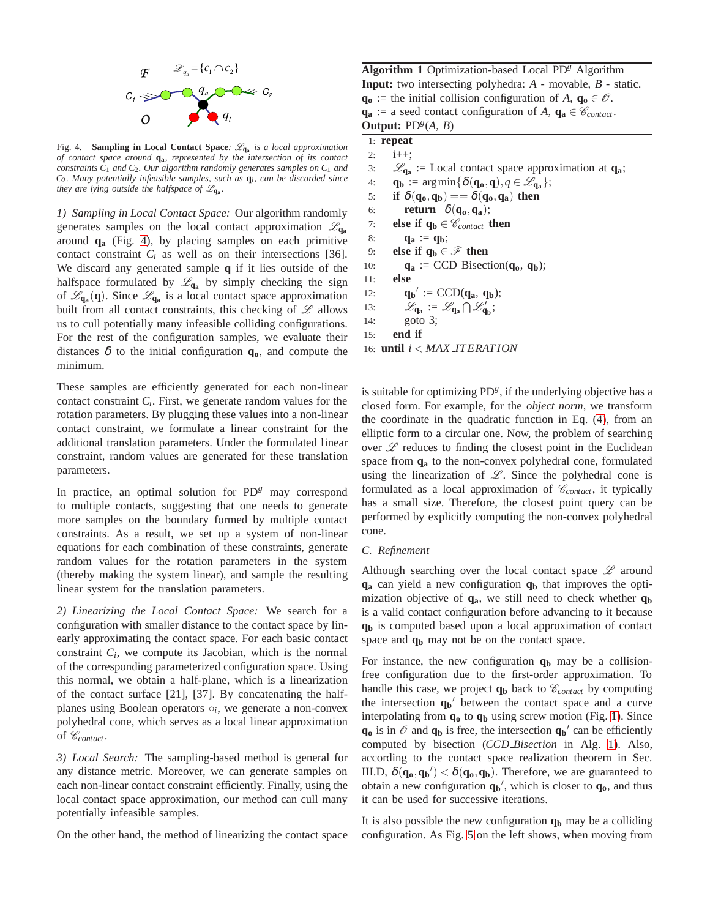

<span id="page-4-0"></span>Fig. 4. **Sampling in Local Contact Space***:* L**q<sup>a</sup>** *is a local approximation of contact space around* **qa***, represented by the intersection of its contact constraints C*<sup>1</sup> *and C*2*. Our algorithm randomly generates samples on C*<sup>1</sup> *and C*2*. Many potentially infeasible samples, such as* **q***<sup>l</sup> , can be discarded since they are lying outside the halfspace of*  $\mathscr{L}_{q_a}$ .

*1) Sampling in Local Contact Space:* Our algorithm randomly generates samples on the local contact approximation  $\mathscr{L}_{q_a}$ around **q<sup>a</sup>** (Fig. [4\)](#page-4-0), by placing samples on each primitive contact constraint  $C_i$  as well as on their intersections [36]. We discard any generated sample **q** if it lies outside of the halfspace formulated by  $\mathcal{L}_{q_a}$  by simply checking the sign of  $\mathscr{L}_{\mathbf{q}_a}(\mathbf{q})$ . Since  $\mathscr{L}_{\mathbf{q}_a}$  is a local contact space approximation built from all contact constraints, this checking of  $\mathscr L$  allows us to cull potentially many infeasible colliding configurations. For the rest of the configuration samples, we evaluate their distances  $\delta$  to the initial configuration  $q_0$ , and compute the minimum.

These samples are efficiently generated for each non-linear contact constraint *C<sup>i</sup>* . First, we generate random values for the rotation parameters. By plugging these values into a non-linear contact constraint, we formulate a linear constraint for the additional translation parameters. Under the formulated linear constraint, random values are generated for these translation parameters.

In practice, an optimal solution for  $PD<sup>g</sup>$  may correspond to multiple contacts, suggesting that one needs to generate more samples on the boundary formed by multiple contact constraints. As a result, we set up a system of non-linear equations for each combination of these constraints, generate random values for the rotation parameters in the system (thereby making the system linear), and sample the resulting linear system for the translation parameters.

*2) Linearizing the Local Contact Space:* We search for a configuration with smaller distance to the contact space by linearly approximating the contact space. For each basic contact constraint  $C_i$ , we compute its Jacobian, which is the normal of the corresponding parameterized configuration space. Using this normal, we obtain a half-plane, which is a linearization of the contact surface [21], [37]. By concatenating the halfplanes using Boolean operators o<sub>i</sub>, we generate a non-convex polyhedral cone, which serves as a local linear approximation of  $\mathcal{C}_{contact}$ .

*3) Local Search:* The sampling-based method is general for any distance metric. Moreover, we can generate samples on each non-linear contact constraint efficiently. Finally, using the local contact space approximation, our method can cull many potentially infeasible samples.

On the other hand, the method of linearizing the contact space

**Algorithm 1** Optimization-based Local PD*<sup>g</sup>* Algorithm **Input:** two intersecting polyhedra: *A* - movable, *B* - static. **qo** := the initial collision configuration of *A*,  $q$ **o** ∈  $\mathcal{O}$ .  $\mathbf{q}_a$  := a seed contact configuration of *A*,  $\mathbf{q}_a \in \mathcal{C}_{contact}$ . **Output:**  $PD^{g}(A, B)$ 

# 1: **repeat**

2:  $i++$ ; 3:  $\mathscr{L}_{\mathbf{q}_a}$  := Local contact space approximation at  $\mathbf{q}_a$ ; 4: **q**<sub>**b**</sub> :=  $\arg\min{\{\delta(\mathbf{q_o}, \mathbf{q}), q \in \mathcal{L}_{\mathbf{q_a}}\}};$ 5: **if**  $\delta(\mathbf{q_o}, \mathbf{q_b}) == \delta(\mathbf{q_o}, \mathbf{q_a})$  then 6: **return**  $\delta(\mathbf{q_o}, \mathbf{q_a})$ ; 7: **else if**  $q_b \in \mathcal{C}_{contact}$  **then** 8: **q**<sub>a</sub> :=  $q_b$ ; 9: **else if**  $q_b \in \mathcal{F}$  then 10:  $\mathbf{q}_a := \text{CCD}$ -Bisection( $\mathbf{q}_0$ ,  $\mathbf{q}_b$ ); 11: **else** 12: **qb**<sup> $\prime$ </sup> := CCD(**qa**, **qb**); 13:  $\mathscr{L}_{q_a} := \mathscr{L}_{q_a} \cap \mathscr{L}'_{q_b};$ 14: goto 3; 15: **end if** 16: **until** *i* < *MAX IT ERAT ION*

<span id="page-4-1"></span>is suitable for optimizing PD<sup>g</sup>, if the underlying objective has a closed form. For example, for the *object norm*, we transform the coordinate in the quadratic function in Eq. [\(4\)](#page-2-2), from an elliptic form to a circular one. Now, the problem of searching over  $\mathscr L$  reduces to finding the closest point in the Euclidean space from **q<sup>a</sup>** to the non-convex polyhedral cone, formulated using the linearization of  $\mathscr{L}$ . Since the polyhedral cone is formulated as a local approximation of  $\mathcal{C}_{contact}$ , it typically has a small size. Therefore, the closest point query can be performed by explicitly computing the non-convex polyhedral cone.

# *C. Refinement*

Although searching over the local contact space  $\mathscr L$  around **q<sup>a</sup>** can yield a new configuration **q<sup>b</sup>** that improves the optimization objective of **qa**, we still need to check whether **q<sup>b</sup>** is a valid contact configuration before advancing to it because **q<sup>b</sup>** is computed based upon a local approximation of contact space and **q<sup>b</sup>** may not be on the contact space.

For instance, the new configuration  $q_b$  may be a collisionfree configuration due to the first-order approximation. To handle this case, we project  $q_b$  back to  $\mathcal{C}_{contact}$  by computing the intersection  $q_b'$  between the contact space and a curve interpolating from **q<sup>o</sup>** to **q<sup>b</sup>** using screw motion (Fig. [1\)](#page-2-0). Since  $\mathbf{q}_0$  is in  $\mathcal{O}$  and  $\mathbf{q}_b$  is free, the intersection  $\mathbf{q}_b'$  can be efficiently computed by bisection (*CCD Bisection* in Alg. [1\)](#page-4-1). Also, according to the contact space realization theorem in Sec. III.D,  $\delta(\mathbf{q}_0, \mathbf{q}_0) < \delta(\mathbf{q}_0, \mathbf{q}_0)$ . Therefore, we are guaranteed to obtain a new configuration  $q_b'$ , which is closer to  $q_o$ , and thus it can be used for successive iterations.

It is also possible the new configuration **q<sup>b</sup>** may be a colliding configuration. As Fig. [5](#page-5-0) on the left shows, when moving from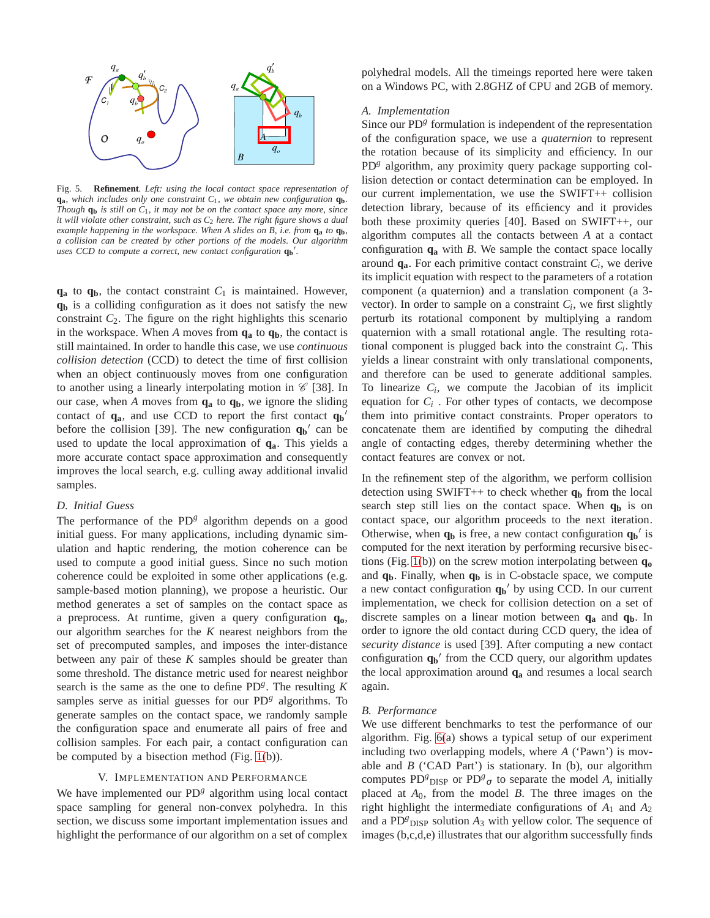

<span id="page-5-0"></span>Fig. 5. **Refinement***. Left: using the local contact space representation of*  $q_a$ *, which includes only one constraint*  $C_1$ *, we obtain new configuration*  $q_b$ *. Though*  $q_b$  *is still on*  $C_1$ *, it may not be on the contact space any more, since it will violate other constraint, such as C*<sup>2</sup> *here. The right figure shows a dual example happening in the workspace. When A slides on B, i.e. from* **q<sup>a</sup>** *to* **qb***, a collision can be created by other portions of the models. Our algorithm uses CCD to compute a correct, new contact configuration* **q<sup>b</sup>** ′ *.*

 $q_a$  to  $q_b$ , the contact constraint  $C_1$  is maintained. However, **q<sup>b</sup>** is a colliding configuration as it does not satisfy the new constraint  $C_2$ . The figure on the right highlights this scenario in the workspace. When A moves from  $q_a$  to  $q_b$ , the contact is still maintained. In order to handle this case, we use *continuous collision detection* (CCD) to detect the time of first collision when an object continuously moves from one configuration to another using a linearly interpolating motion in  $\mathcal C$  [38]. In our case, when *A* moves from **q<sup>a</sup>** to **qb**, we ignore the sliding contact of **qa**, and use CCD to report the first contact **q<sup>b</sup>** ′ before the collision [39]. The new configuration  $q_b'$  can be used to update the local approximation of **qa**. This yields a more accurate contact space approximation and consequently improves the local search, e.g. culling away additional invalid samples.

# *D. Initial Guess*

The performance of the PD<sup>g</sup> algorithm depends on a good initial guess. For many applications, including dynamic simulation and haptic rendering, the motion coherence can be used to compute a good initial guess. Since no such motion coherence could be exploited in some other applications (e.g. sample-based motion planning), we propose a heuristic. Our method generates a set of samples on the contact space as a preprocess. At runtime, given a query configuration **qo**, our algorithm searches for the *K* nearest neighbors from the set of precomputed samples, and imposes the inter-distance between any pair of these *K* samples should be greater than some threshold. The distance metric used for nearest neighbor search is the same as the one to define PD*<sup>g</sup>* . The resulting *K* samples serve as initial guesses for our PD<sup>g</sup> algorithms. To generate samples on the contact space, we randomly sample the configuration space and enumerate all pairs of free and collision samples. For each pair, a contact configuration can be computed by a bisection method (Fig. [1\(](#page-2-0)b)).

# V. IMPLEMENTATION AND PERFORMANCE

We have implemented our PD<sup>g</sup> algorithm using local contact space sampling for general non-convex polyhedra. In this section, we discuss some important implementation issues and highlight the performance of our algorithm on a set of complex polyhedral models. All the timeings reported here were taken on a Windows PC, with 2.8GHZ of CPU and 2GB of memory.

# *A. Implementation*

Since our PD<sup>g</sup> formulation is independent of the representation of the configuration space, we use a *quaternion* to represent the rotation because of its simplicity and efficiency. In our PD<sup>g</sup> algorithm, any proximity query package supporting collision detection or contact determination can be employed. In our current implementation, we use the SWIFT++ collision detection library, because of its efficiency and it provides both these proximity queries [40]. Based on SWIFT++, our algorithm computes all the contacts between *A* at a contact configuration  $q_a$  with *B*. We sample the contact space locally around  $q_a$ . For each primitive contact constraint  $C_i$ , we derive its implicit equation with respect to the parameters of a rotation component (a quaternion) and a translation component (a 3 vector). In order to sample on a constraint  $C_i$ , we first slightly perturb its rotational component by multiplying a random quaternion with a small rotational angle. The resulting rotational component is plugged back into the constraint  $C_i$ . This yields a linear constraint with only translational components, and therefore can be used to generate additional samples. To linearize  $C_i$ , we compute the Jacobian of its implicit equation for  $C_i$ . For other types of contacts, we decompose them into primitive contact constraints. Proper operators to concatenate them are identified by computing the dihedral angle of contacting edges, thereby determining whether the contact features are convex or not.

In the refinement step of the algorithm, we perform collision detection using SWIFT++ to check whether  $q_b$  from the local search step still lies on the contact space. When **q<sup>b</sup>** is on contact space, our algorithm proceeds to the next iteration. Otherwise, when  $q_b$  is free, a new contact configuration  $q_b'$  is computed for the next iteration by performing recursive bisections (Fig. [1\(](#page-2-0)b)) on the screw motion interpolating between **q<sup>o</sup>** and **qb**. Finally, when **q<sup>b</sup>** is in C-obstacle space, we compute a new contact configuration **q<sup>b</sup>** ′ by using CCD. In our current implementation, we check for collision detection on a set of discrete samples on a linear motion between **q<sup>a</sup>** and **qb**. In order to ignore the old contact during CCD query, the idea of *security distance* is used [39]. After computing a new contact configuration **q<sup>b</sup>** ′ from the CCD query, our algorithm updates the local approximation around **q<sup>a</sup>** and resumes a local search again.

# *B. Performance*

We use different benchmarks to test the performance of our algorithm. Fig. [6\(](#page-6-0)a) shows a typical setup of our experiment including two overlapping models, where *A* ('Pawn') is movable and *B* ('CAD Part') is stationary. In (b), our algorithm computes PD<sup>*g*</sup><sub>DISP</sub> or PD<sup>*g*</sup><sub> $\sigma$ </sub> to separate the model *A*, initially placed at *A*0, from the model *B*. The three images on the right highlight the intermediate configurations of *A*<sup>1</sup> and *A*<sup>2</sup> and a  $PD<sup>g</sup>$ <sub>DISP</sub> solution  $A<sub>3</sub>$  with yellow color. The sequence of images (b,c,d,e) illustrates that our algorithm successfully finds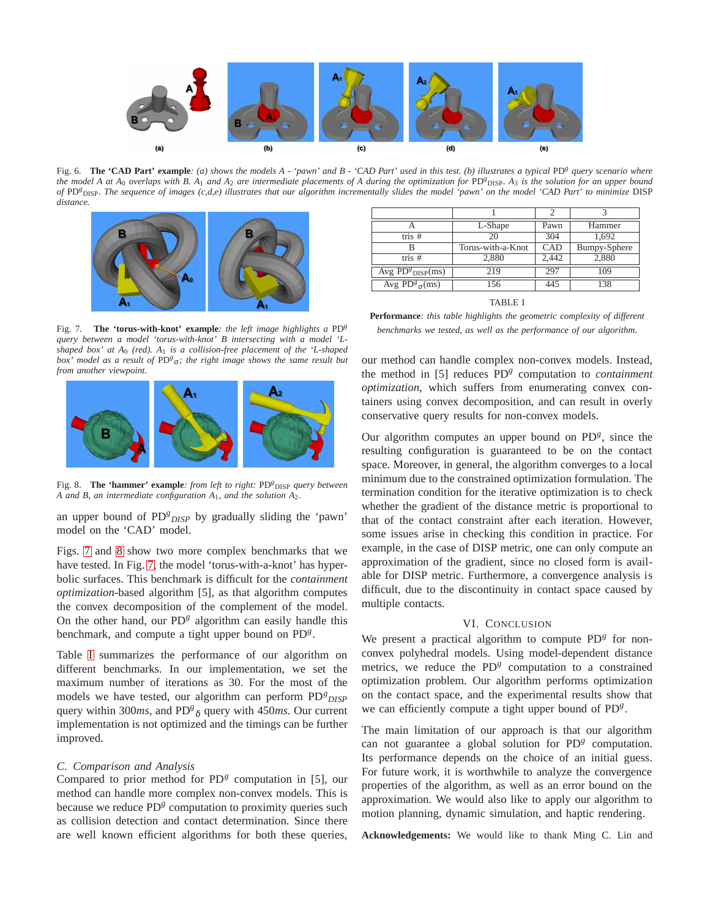

<span id="page-6-0"></span>Fig. 6. **The 'CAD Part' example***: (a) shows the models A - 'pawn' and B - 'CAD Part' used in this test. (b) illustrates a typical* PD*<sup>g</sup> query scenario where the model A at A*<sup>0</sup> *overlaps with B. A*<sup>1</sup> *and A*<sup>2</sup> *are intermediate placements of A during the optimization for* PD*<sup>g</sup>* DISP*. A*<sup>3</sup> *is the solution for an upper bound of* PD*<sup>g</sup>* DISP*. The sequence of images (c,d,e) illustrates that our algorithm incrementally slides the model 'pawn' on the model 'CAD Part' to minimize* DISP *distance.*



<span id="page-6-1"></span>Fig. 7. **The 'torus-with-knot' example***: the left image highlights a* PD*<sup>g</sup> query between a model 'torus-with-knot' B intersecting with a model 'Lshaped box' at A*<sup>0</sup> *(red). A*<sup>1</sup> *is a collision-free placement of the 'L-shaped box'* model as a result of PD<sup>g</sup><sub>σ</sub>; the right image shows the same result but *from another viewpoint.*



<span id="page-6-2"></span>Fig. 8. **The 'hammer' example**: from left to right: PD<sup>g</sup> DISP query between *A and B, an intermediate configuration A*1*, and the solution A*2*.*

an upper bound of PD<sup>g</sup><sub>DISP</sub> by gradually sliding the 'pawn' model on the 'CAD' model.

Figs. [7](#page-6-1) and [8](#page-6-2) show two more complex benchmarks that we have tested. In Fig. [7,](#page-6-1) the model 'torus-with-a-knot' has hyperbolic surfaces. This benchmark is difficult for the *containment optimization*-based algorithm [5], as that algorithm computes the convex decomposition of the complement of the model. On the other hand, our PD<sup>g</sup> algorithm can easily handle this benchmark, and compute a tight upper bound on PD<sup>g</sup>.

Table [I](#page-6-3) summarizes the performance of our algorithm on different benchmarks. In our implementation, we set the maximum number of iterations as 30. For the most of the models we have tested, our algorithm can perform PD<sup>g</sup><sub>DISP</sub> query within 300*ms*, and PD*<sup>g</sup>* <sup>δ</sup> query with 450*ms*. Our current implementation is not optimized and the timings can be further improved.

# *C. Comparison and Analysis*

Compared to prior method for PD<sup>g</sup> computation in [5], our method can handle more complex non-convex models. This is because we reduce PD<sup>g</sup> computation to proximity queries such as collision detection and contact determination. Since there are well known efficient algorithms for both these queries,

|                         | L-Shape           | Pawn  | Hammer       |
|-------------------------|-------------------|-------|--------------|
| tris $#$                | 20                | 304   | 1.692        |
|                         | Torus-with-a-Knot | CAD   | Bumpy-Sphere |
| tris #                  | 2,880             | 2.442 | 2,880        |
| Avg $PD_{DISP}^{g}(ms)$ | 219               | 297   | 109          |
| Avg $PD^g_{\sigma}(ms)$ | 156               | 445   | 138          |

TABLE I

<span id="page-6-3"></span>**Performance***: this table highlights the geometric complexity of different benchmarks we tested, as well as the performance of our algorithm.*

our method can handle complex non-convex models. Instead, the method in [5] reduces PD*<sup>g</sup>* computation to *containment optimization*, which suffers from enumerating convex containers using convex decomposition, and can result in overly conservative query results for non-convex models.

Our algorithm computes an upper bound on PD<sup>g</sup>, since the resulting configuration is guaranteed to be on the contact space. Moreover, in general, the algorithm converges to a local minimum due to the constrained optimization formulation. The termination condition for the iterative optimization is to check whether the gradient of the distance metric is proportional to that of the contact constraint after each iteration. However, some issues arise in checking this condition in practice. For example, in the case of DISP metric, one can only compute an approximation of the gradient, since no closed form is available for DISP metric. Furthermore, a convergence analysis is difficult, due to the discontinuity in contact space caused by multiple contacts.

#### VI. CONCLUSION

We present a practical algorithm to compute  $PD<sup>g</sup>$  for nonconvex polyhedral models. Using model-dependent distance metrics, we reduce the PD<sup>g</sup> computation to a constrained optimization problem. Our algorithm performs optimization on the contact space, and the experimental results show that we can efficiently compute a tight upper bound of PD*<sup>g</sup>* .

The main limitation of our approach is that our algorithm can not guarantee a global solution for PD<sup>g</sup> computation. Its performance depends on the choice of an initial guess. For future work, it is worthwhile to analyze the convergence properties of the algorithm, as well as an error bound on the approximation. We would also like to apply our algorithm to motion planning, dynamic simulation, and haptic rendering.

**Acknowledgements:** We would like to thank Ming C. Lin and